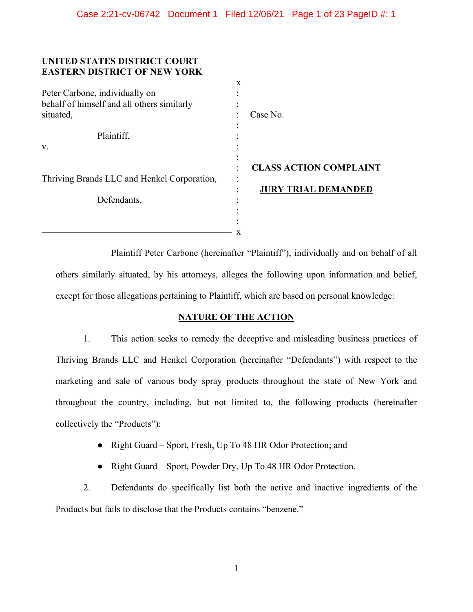| UNITED STATES DISTRICT COURT<br><b>EASTERN DISTRICT OF NEW YORK</b> | X |                               |
|---------------------------------------------------------------------|---|-------------------------------|
| Peter Carbone, individually on                                      |   |                               |
| behalf of himself and all others similarly                          |   |                               |
| situated,                                                           |   | Case No.                      |
|                                                                     |   |                               |
| Plaintiff,                                                          |   |                               |
| V.                                                                  |   |                               |
|                                                                     |   |                               |
|                                                                     |   | <b>CLASS ACTION COMPLAINT</b> |
| Thriving Brands LLC and Henkel Corporation,                         |   |                               |
|                                                                     |   | <b>JURY TRIAL DEMANDED</b>    |
| Defendants.                                                         |   |                               |
|                                                                     |   |                               |
|                                                                     |   |                               |
|                                                                     | x |                               |

Plaintiff Peter Carbone (hereinafter "Plaintiff"), individually and on behalf of all others similarly situated, by his attorneys, alleges the following upon information and belief, except for those allegations pertaining to Plaintiff, which are based on personal knowledge:

# **NATURE OF THE ACTION**

1. This action seeks to remedy the deceptive and misleading business practices of Thriving Brands LLC and Henkel Corporation (hereinafter "Defendants") with respect to the marketing and sale of various body spray products throughout the state of New York and throughout the country, including, but not limited to, the following products (hereinafter collectively the "Products"):

- Right Guard Sport, Fresh, Up To 48 HR Odor Protection; and
- Right Guard Sport, Powder Dry, Up To 48 HR Odor Protection.

2. Defendants do specifically list both the active and inactive ingredients of the Products but fails to disclose that the Products contains "benzene."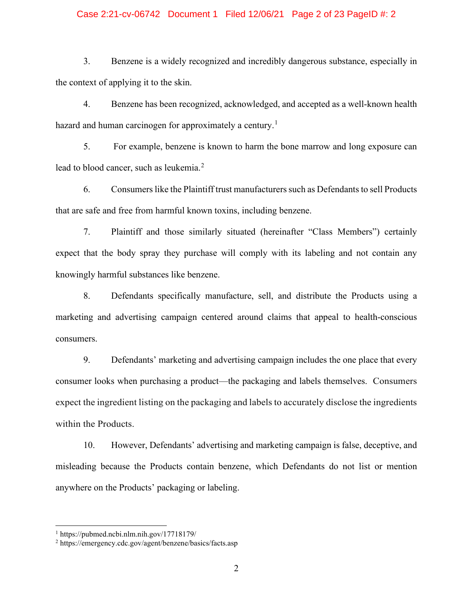### Case 2:21-cv-06742 Document 1 Filed 12/06/21 Page 2 of 23 PageID #: 2

3. Benzene is a widely recognized and incredibly dangerous substance, especially in the context of applying it to the skin.

4. Benzene has been recognized, acknowledged, and accepted as a well-known health hazard and human carcinogen for approximately a century.<sup>[1](#page-1-0)</sup>

5. For example, benzene is known to harm the bone marrow and long exposure can lead to blood cancer, such as leukemia.<sup>[2](#page-1-1)</sup>

6. Consumers like the Plaintiff trust manufacturers such as Defendants to sell Products that are safe and free from harmful known toxins, including benzene.

7. Plaintiff and those similarly situated (hereinafter "Class Members") certainly expect that the body spray they purchase will comply with its labeling and not contain any knowingly harmful substances like benzene.

8. Defendants specifically manufacture, sell, and distribute the Products using a marketing and advertising campaign centered around claims that appeal to health-conscious consumers.

9. Defendants' marketing and advertising campaign includes the one place that every consumer looks when purchasing a product—the packaging and labels themselves. Consumers expect the ingredient listing on the packaging and labels to accurately disclose the ingredients within the Products.

10. However, Defendants' advertising and marketing campaign is false, deceptive, and misleading because the Products contain benzene, which Defendants do not list or mention anywhere on the Products' packaging or labeling.

<span id="page-1-0"></span> $1 \text{ https://pubmed.ncbi.nlm.nih.gov/17718179/}$ 

<span id="page-1-1"></span><sup>2</sup> https://emergency.cdc.gov/agent/benzene/basics/facts.asp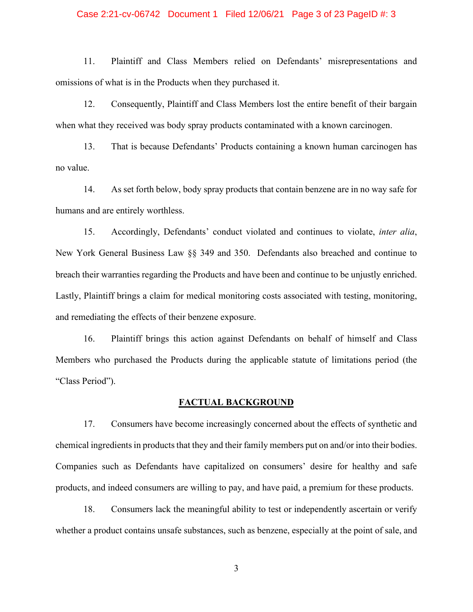### Case 2:21-cv-06742 Document 1 Filed 12/06/21 Page 3 of 23 PageID #: 3

11. Plaintiff and Class Members relied on Defendants' misrepresentations and omissions of what is in the Products when they purchased it.

12. Consequently, Plaintiff and Class Members lost the entire benefit of their bargain when what they received was body spray products contaminated with a known carcinogen.

13. That is because Defendants' Products containing a known human carcinogen has no value.

14. As set forth below, body spray products that contain benzene are in no way safe for humans and are entirely worthless.

15. Accordingly, Defendants' conduct violated and continues to violate, *inter alia*, New York General Business Law §§ 349 and 350. Defendants also breached and continue to breach their warranties regarding the Products and have been and continue to be unjustly enriched. Lastly, Plaintiff brings a claim for medical monitoring costs associated with testing, monitoring, and remediating the effects of their benzene exposure.

16. Plaintiff brings this action against Defendants on behalf of himself and Class Members who purchased the Products during the applicable statute of limitations period (the "Class Period").

## **FACTUAL BACKGROUND**

17. Consumers have become increasingly concerned about the effects of synthetic and chemical ingredients in products that they and their family members put on and/or into their bodies. Companies such as Defendants have capitalized on consumers' desire for healthy and safe products, and indeed consumers are willing to pay, and have paid, a premium for these products.

18. Consumers lack the meaningful ability to test or independently ascertain or verify whether a product contains unsafe substances, such as benzene, especially at the point of sale, and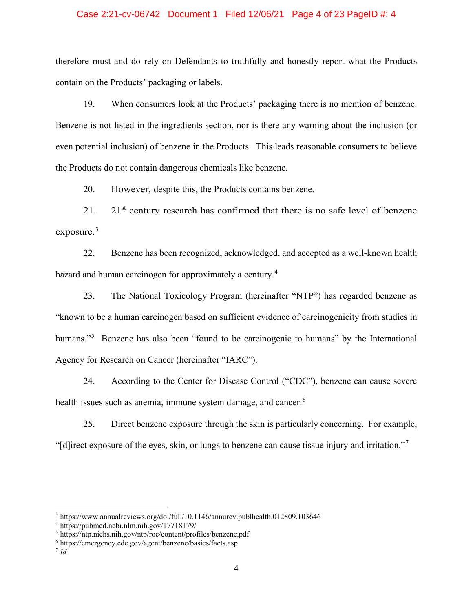### Case 2:21-cv-06742 Document 1 Filed 12/06/21 Page 4 of 23 PageID #: 4

therefore must and do rely on Defendants to truthfully and honestly report what the Products contain on the Products' packaging or labels.

19. When consumers look at the Products' packaging there is no mention of benzene. Benzene is not listed in the ingredients section, nor is there any warning about the inclusion (or even potential inclusion) of benzene in the Products. This leads reasonable consumers to believe the Products do not contain dangerous chemicals like benzene.

20. However, despite this, the Products contains benzene.

21. 21 $\mathrm{s}$ <sup>1</sup> century research has confirmed that there is no safe level of benzene exposure.<sup>[3](#page-3-0)</sup>

22. Benzene has been recognized, acknowledged, and accepted as a well-known health hazard and human carcinogen for approximately a century.<sup>[4](#page-3-1)</sup>

23. The National Toxicology Program (hereinafter "NTP") has regarded benzene as "known to be a human carcinogen based on sufficient evidence of carcinogenicity from studies in humans."<sup>[5](#page-3-2)</sup> Benzene has also been "found to be carcinogenic to humans" by the International Agency for Research on Cancer (hereinafter "IARC").

24. According to the Center for Disease Control ("CDC"), benzene can cause severe health issues such as anemia, immune system damage, and cancer.<sup>[6](#page-3-3)</sup>

25. Direct benzene exposure through the skin is particularly concerning. For example, "[d]irect exposure of the eyes, skin, or lungs to benzene can cause tissue injury and irritation."[7](#page-3-4)

<span id="page-3-0"></span><sup>3</sup> https://www.annualreviews.org/doi/full/10.1146/annurev.publhealth.012809.103646

<span id="page-3-1"></span><sup>4</sup> https://pubmed.ncbi.nlm.nih.gov/17718179/

<span id="page-3-2"></span><sup>5</sup> https://ntp.niehs.nih.gov/ntp/roc/content/profiles/benzene.pdf

<span id="page-3-3"></span><sup>6</sup> https://emergency.cdc.gov/agent/benzene/basics/facts.asp

<span id="page-3-4"></span><sup>7</sup> *Id.*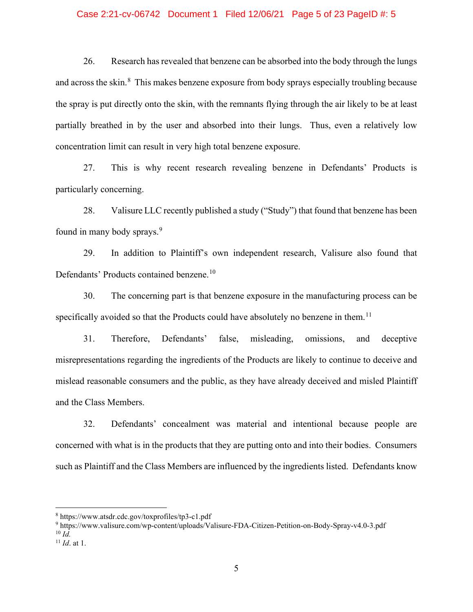#### Case 2:21-cv-06742 Document 1 Filed 12/06/21 Page 5 of 23 PageID #: 5

26. Research has revealed that benzene can be absorbed into the body through the lungs and across the skin.<sup>[8](#page-4-0)</sup> This makes benzene exposure from body sprays especially troubling because the spray is put directly onto the skin, with the remnants flying through the air likely to be at least partially breathed in by the user and absorbed into their lungs. Thus, even a relatively low concentration limit can result in very high total benzene exposure.

27. This is why recent research revealing benzene in Defendants' Products is particularly concerning.

28. Valisure LLC recently published a study ("Study") that found that benzene has been found in many body sprays.<sup>[9](#page-4-1)</sup>

29. In addition to Plaintiff's own independent research, Valisure also found that Defendants' Products contained benzene.<sup>[10](#page-4-2)</sup>

30. The concerning part is that benzene exposure in the manufacturing process can be specifically avoided so that the Products could have absolutely no benzene in them.<sup>[11](#page-4-3)</sup>

31. Therefore, Defendants' false, misleading, omissions, and deceptive misrepresentations regarding the ingredients of the Products are likely to continue to deceive and mislead reasonable consumers and the public, as they have already deceived and misled Plaintiff and the Class Members.

32. Defendants' concealment was material and intentional because people are concerned with what is in the products that they are putting onto and into their bodies. Consumers such as Plaintiff and the Class Members are influenced by the ingredients listed. Defendants know

<span id="page-4-1"></span><sup>9</sup> https://www.valisure.com/wp-content/uploads/Valisure-FDA-Citizen-Petition-on-Body-Spray-v4.0-3.pdf  $^{10}$  *Id.* 

<span id="page-4-0"></span><sup>8</sup> https://www.atsdr.cdc.gov/toxprofiles/tp3-c1.pdf

<span id="page-4-3"></span><span id="page-4-2"></span><sup>11</sup> *Id*. at 1.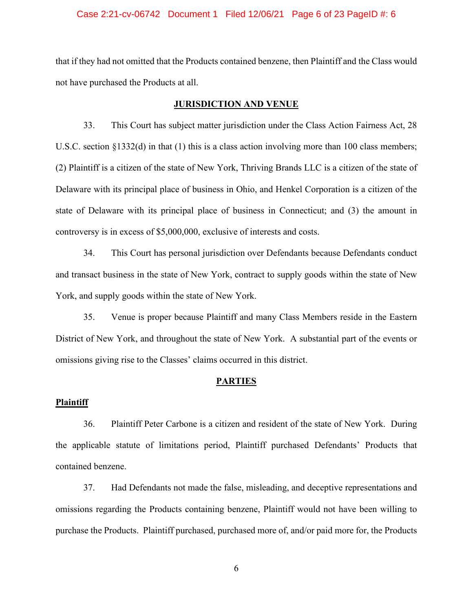#### Case 2:21-cv-06742 Document 1 Filed 12/06/21 Page 6 of 23 PageID #: 6

that if they had not omitted that the Products contained benzene, then Plaintiff and the Class would not have purchased the Products at all.

# **JURISDICTION AND VENUE**

33. This Court has subject matter jurisdiction under the Class Action Fairness Act, 28 U.S.C. section §1332(d) in that (1) this is a class action involving more than 100 class members; (2) Plaintiff is a citizen of the state of New York, Thriving Brands LLC is a citizen of the state of Delaware with its principal place of business in Ohio, and Henkel Corporation is a citizen of the state of Delaware with its principal place of business in Connecticut; and (3) the amount in controversy is in excess of \$5,000,000, exclusive of interests and costs.

34. This Court has personal jurisdiction over Defendants because Defendants conduct and transact business in the state of New York, contract to supply goods within the state of New York, and supply goods within the state of New York.

35. Venue is proper because Plaintiff and many Class Members reside in the Eastern District of New York, and throughout the state of New York. A substantial part of the events or omissions giving rise to the Classes' claims occurred in this district.

#### **PARTIES**

#### **Plaintiff**

36. Plaintiff Peter Carbone is a citizen and resident of the state of New York. During the applicable statute of limitations period, Plaintiff purchased Defendants' Products that contained benzene.

37. Had Defendants not made the false, misleading, and deceptive representations and omissions regarding the Products containing benzene, Plaintiff would not have been willing to purchase the Products. Plaintiff purchased, purchased more of, and/or paid more for, the Products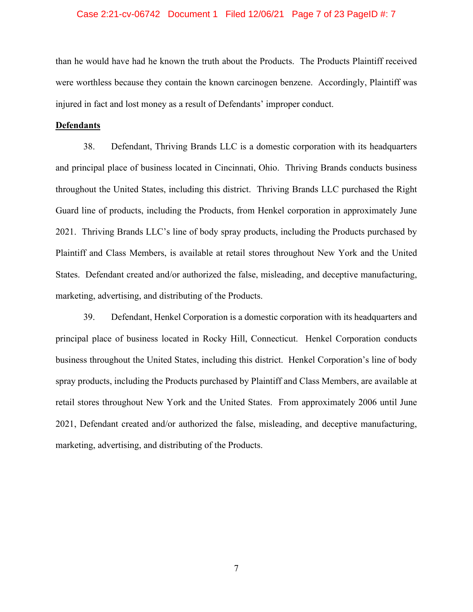#### Case 2:21-cv-06742 Document 1 Filed 12/06/21 Page 7 of 23 PageID #: 7

than he would have had he known the truth about the Products. The Products Plaintiff received were worthless because they contain the known carcinogen benzene. Accordingly, Plaintiff was injured in fact and lost money as a result of Defendants' improper conduct.

### **Defendants**

38. Defendant, Thriving Brands LLC is a domestic corporation with its headquarters and principal place of business located in Cincinnati, Ohio. Thriving Brands conducts business throughout the United States, including this district. Thriving Brands LLC purchased the Right Guard line of products, including the Products, from Henkel corporation in approximately June 2021. Thriving Brands LLC's line of body spray products, including the Products purchased by Plaintiff and Class Members, is available at retail stores throughout New York and the United States. Defendant created and/or authorized the false, misleading, and deceptive manufacturing, marketing, advertising, and distributing of the Products.

39. Defendant, Henkel Corporation is a domestic corporation with its headquarters and principal place of business located in Rocky Hill, Connecticut. Henkel Corporation conducts business throughout the United States, including this district. Henkel Corporation's line of body spray products, including the Products purchased by Plaintiff and Class Members, are available at retail stores throughout New York and the United States. From approximately 2006 until June 2021, Defendant created and/or authorized the false, misleading, and deceptive manufacturing, marketing, advertising, and distributing of the Products.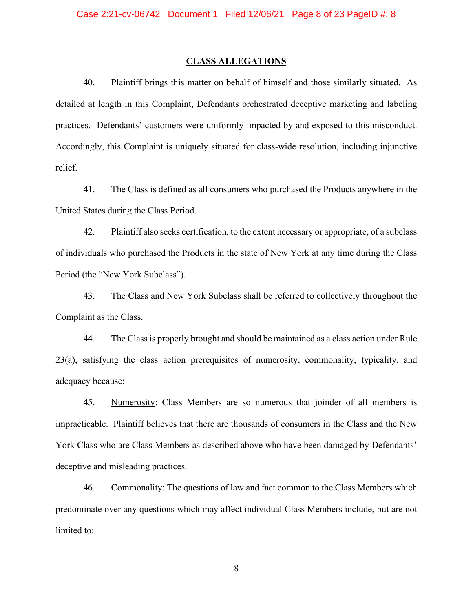### **CLASS ALLEGATIONS**

40. Plaintiff brings this matter on behalf of himself and those similarly situated. As detailed at length in this Complaint, Defendants orchestrated deceptive marketing and labeling practices. Defendants' customers were uniformly impacted by and exposed to this misconduct. Accordingly, this Complaint is uniquely situated for class-wide resolution, including injunctive relief.

41. The Class is defined as all consumers who purchased the Products anywhere in the United States during the Class Period.

42. Plaintiff also seeks certification, to the extent necessary or appropriate, of a subclass of individuals who purchased the Products in the state of New York at any time during the Class Period (the "New York Subclass").

43. The Class and New York Subclass shall be referred to collectively throughout the Complaint as the Class.

44. The Class is properly brought and should be maintained as a class action under Rule 23(a), satisfying the class action prerequisites of numerosity, commonality, typicality, and adequacy because:

45. Numerosity: Class Members are so numerous that joinder of all members is impracticable. Plaintiff believes that there are thousands of consumers in the Class and the New York Class who are Class Members as described above who have been damaged by Defendants' deceptive and misleading practices.

46. Commonality: The questions of law and fact common to the Class Members which predominate over any questions which may affect individual Class Members include, but are not limited to: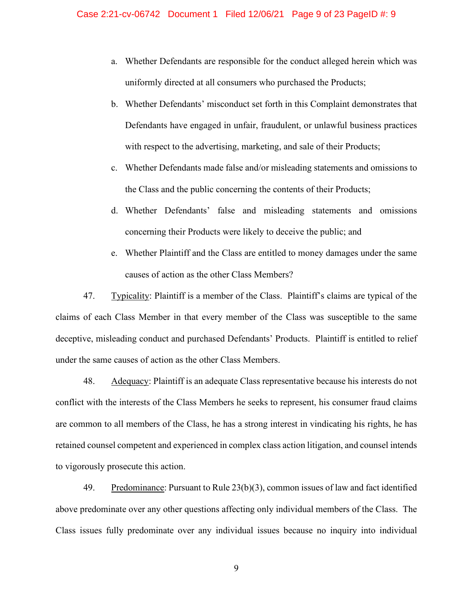- a. Whether Defendants are responsible for the conduct alleged herein which was uniformly directed at all consumers who purchased the Products;
- b. Whether Defendants' misconduct set forth in this Complaint demonstrates that Defendants have engaged in unfair, fraudulent, or unlawful business practices with respect to the advertising, marketing, and sale of their Products;
- c. Whether Defendants made false and/or misleading statements and omissions to the Class and the public concerning the contents of their Products;
- d. Whether Defendants' false and misleading statements and omissions concerning their Products were likely to deceive the public; and
- e. Whether Plaintiff and the Class are entitled to money damages under the same causes of action as the other Class Members?

47. Typicality: Plaintiff is a member of the Class. Plaintiff's claims are typical of the claims of each Class Member in that every member of the Class was susceptible to the same deceptive, misleading conduct and purchased Defendants' Products. Plaintiff is entitled to relief under the same causes of action as the other Class Members.

48. Adequacy: Plaintiff is an adequate Class representative because his interests do not conflict with the interests of the Class Members he seeks to represent, his consumer fraud claims are common to all members of the Class, he has a strong interest in vindicating his rights, he has retained counsel competent and experienced in complex class action litigation, and counsel intends to vigorously prosecute this action.

49. Predominance: Pursuant to Rule  $23(b)(3)$ , common issues of law and fact identified above predominate over any other questions affecting only individual members of the Class. The Class issues fully predominate over any individual issues because no inquiry into individual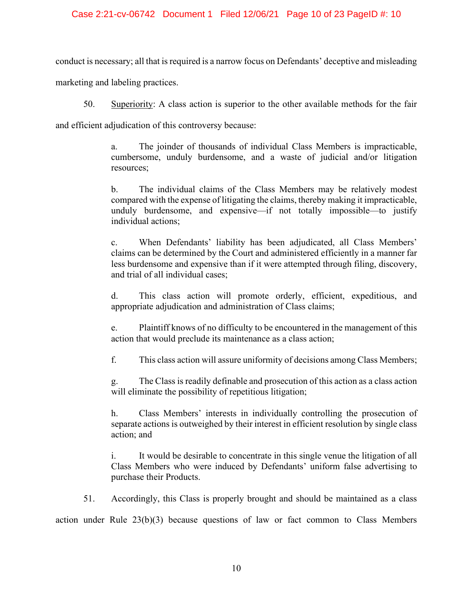## Case 2:21-cv-06742 Document 1 Filed 12/06/21 Page 10 of 23 PageID #: 10

conduct is necessary; all that is required is a narrow focus on Defendants' deceptive and misleading

marketing and labeling practices.

50. Superiority: A class action is superior to the other available methods for the fair

and efficient adjudication of this controversy because:

a. The joinder of thousands of individual Class Members is impracticable, cumbersome, unduly burdensome, and a waste of judicial and/or litigation resources;

b. The individual claims of the Class Members may be relatively modest compared with the expense of litigating the claims, thereby making it impracticable, unduly burdensome, and expensive—if not totally impossible—to justify individual actions;

c. When Defendants' liability has been adjudicated, all Class Members' claims can be determined by the Court and administered efficiently in a manner far less burdensome and expensive than if it were attempted through filing, discovery, and trial of all individual cases;

d. This class action will promote orderly, efficient, expeditious, and appropriate adjudication and administration of Class claims;

e. Plaintiff knows of no difficulty to be encountered in the management of this action that would preclude its maintenance as a class action;

f. This class action will assure uniformity of decisions among Class Members;

g. The Class is readily definable and prosecution of this action as a class action will eliminate the possibility of repetitious litigation;

h. Class Members' interests in individually controlling the prosecution of separate actions is outweighed by their interest in efficient resolution by single class action; and

i. It would be desirable to concentrate in this single venue the litigation of all Class Members who were induced by Defendants' uniform false advertising to purchase their Products.

51. Accordingly, this Class is properly brought and should be maintained as a class

action under Rule  $23(b)(3)$  because questions of law or fact common to Class Members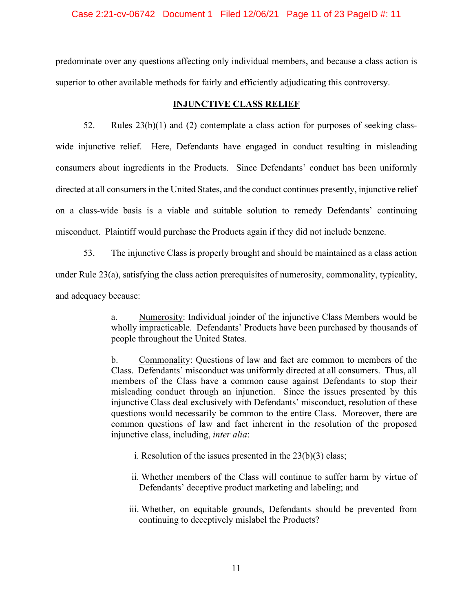#### Case 2:21-cv-06742 Document 1 Filed 12/06/21 Page 11 of 23 PageID #: 11

predominate over any questions affecting only individual members, and because a class action is superior to other available methods for fairly and efficiently adjudicating this controversy.

## **INJUNCTIVE CLASS RELIEF**

52. Rules  $23(b)(1)$  and (2) contemplate a class action for purposes of seeking classwide injunctive relief. Here, Defendants have engaged in conduct resulting in misleading consumers about ingredients in the Products. Since Defendants' conduct has been uniformly directed at all consumers in the United States, and the conduct continues presently, injunctive relief on a class-wide basis is a viable and suitable solution to remedy Defendants' continuing misconduct. Plaintiff would purchase the Products again if they did not include benzene.

53. The injunctive Class is properly brought and should be maintained as a class action under Rule 23(a), satisfying the class action prerequisites of numerosity, commonality, typicality, and adequacy because:

> a. Numerosity: Individual joinder of the injunctive Class Members would be wholly impracticable. Defendants' Products have been purchased by thousands of people throughout the United States.

> b. Commonality: Questions of law and fact are common to members of the Class. Defendants' misconduct was uniformly directed at all consumers. Thus, all members of the Class have a common cause against Defendants to stop their misleading conduct through an injunction. Since the issues presented by this injunctive Class deal exclusively with Defendants' misconduct, resolution of these questions would necessarily be common to the entire Class. Moreover, there are common questions of law and fact inherent in the resolution of the proposed injunctive class, including, *inter alia*:

- i. Resolution of the issues presented in the  $23(b)(3)$  class;
- ii. Whether members of the Class will continue to suffer harm by virtue of Defendants' deceptive product marketing and labeling; and
- iii. Whether, on equitable grounds, Defendants should be prevented from continuing to deceptively mislabel the Products?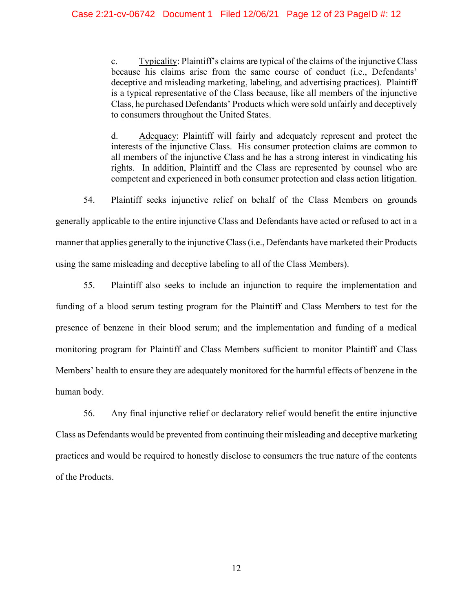c. Typicality: Plaintiff's claims are typical of the claims of the injunctive Class because his claims arise from the same course of conduct (i.e., Defendants' deceptive and misleading marketing, labeling, and advertising practices). Plaintiff is a typical representative of the Class because, like all members of the injunctive Class, he purchased Defendants' Products which were sold unfairly and deceptively to consumers throughout the United States.

d. Adequacy: Plaintiff will fairly and adequately represent and protect the interests of the injunctive Class. His consumer protection claims are common to all members of the injunctive Class and he has a strong interest in vindicating his rights. In addition, Plaintiff and the Class are represented by counsel who are competent and experienced in both consumer protection and class action litigation.

54. Plaintiff seeks injunctive relief on behalf of the Class Members on grounds

generally applicable to the entire injunctive Class and Defendants have acted or refused to act in a manner that applies generally to the injunctive Class (i.e., Defendants have marketed their Products

using the same misleading and deceptive labeling to all of the Class Members).

55. Plaintiff also seeks to include an injunction to require the implementation and funding of a blood serum testing program for the Plaintiff and Class Members to test for the presence of benzene in their blood serum; and the implementation and funding of a medical monitoring program for Plaintiff and Class Members sufficient to monitor Plaintiff and Class Members' health to ensure they are adequately monitored for the harmful effects of benzene in the human body.

56. Any final injunctive relief or declaratory relief would benefit the entire injunctive Class as Defendants would be prevented from continuing their misleading and deceptive marketing practices and would be required to honestly disclose to consumers the true nature of the contents of the Products.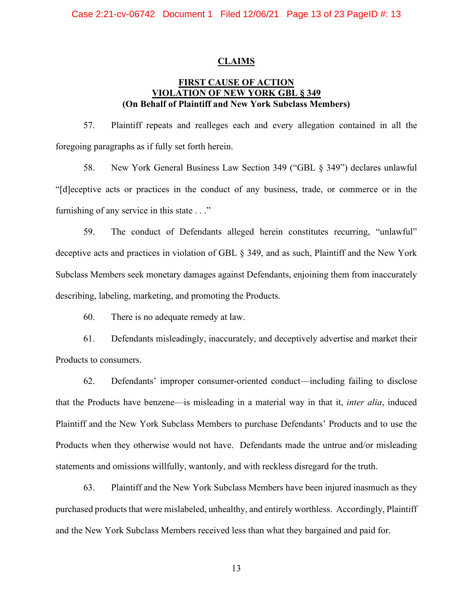#### **CLAIMS**

## **FIRST CAUSE OF ACTION VIOLATION OF NEW YORK GBL § 349 (On Behalf of Plaintiff and New York Subclass Members)**

57. Plaintiff repeats and realleges each and every allegation contained in all the foregoing paragraphs as if fully set forth herein.

58. New York General Business Law Section 349 ("GBL § 349") declares unlawful "[d]eceptive acts or practices in the conduct of any business, trade, or commerce or in the furnishing of any service in this state . . ."

59. The conduct of Defendants alleged herein constitutes recurring, "unlawful" deceptive acts and practices in violation of GBL § 349, and as such, Plaintiff and the New York Subclass Members seek monetary damages against Defendants, enjoining them from inaccurately describing, labeling, marketing, and promoting the Products.

60. There is no adequate remedy at law.

61. Defendants misleadingly, inaccurately, and deceptively advertise and market their Products to consumers.

62. Defendants' improper consumer-oriented conduct—including failing to disclose that the Products have benzene—is misleading in a material way in that it, *inter alia*, induced Plaintiff and the New York Subclass Members to purchase Defendants' Products and to use the Products when they otherwise would not have. Defendants made the untrue and/or misleading statements and omissions willfully, wantonly, and with reckless disregard for the truth.

63. Plaintiff and the New York Subclass Members have been injured inasmuch as they purchased products that were mislabeled, unhealthy, and entirely worthless. Accordingly, Plaintiff and the New York Subclass Members received less than what they bargained and paid for.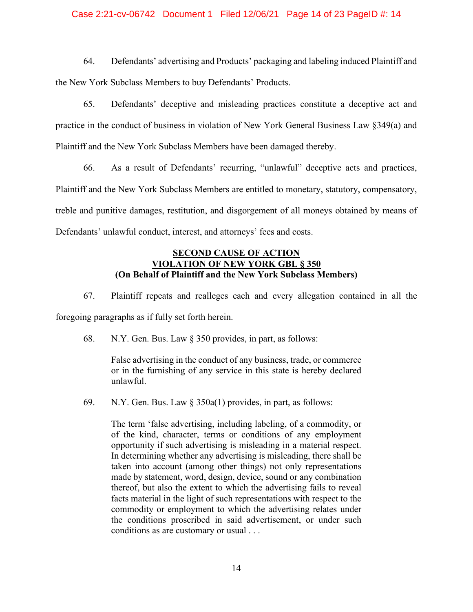## Case 2:21-cv-06742 Document 1 Filed 12/06/21 Page 14 of 23 PageID #: 14

64. Defendants' advertising and Products' packaging and labeling induced Plaintiff and the New York Subclass Members to buy Defendants' Products.

65. Defendants' deceptive and misleading practices constitute a deceptive act and practice in the conduct of business in violation of New York General Business Law §349(a) and Plaintiff and the New York Subclass Members have been damaged thereby.

66. As a result of Defendants' recurring, "unlawful" deceptive acts and practices, Plaintiff and the New York Subclass Members are entitled to monetary, statutory, compensatory, treble and punitive damages, restitution, and disgorgement of all moneys obtained by means of Defendants' unlawful conduct, interest, and attorneys' fees and costs.

## **SECOND CAUSE OF ACTION VIOLATION OF NEW YORK GBL § 350 (On Behalf of Plaintiff and the New York Subclass Members)**

67. Plaintiff repeats and realleges each and every allegation contained in all the foregoing paragraphs as if fully set forth herein.

68. N.Y. Gen. Bus. Law § 350 provides, in part, as follows:

False advertising in the conduct of any business, trade, or commerce or in the furnishing of any service in this state is hereby declared unlawful.

69. N.Y. Gen. Bus. Law § 350a(1) provides, in part, as follows:

The term 'false advertising, including labeling, of a commodity, or of the kind, character, terms or conditions of any employment opportunity if such advertising is misleading in a material respect. In determining whether any advertising is misleading, there shall be taken into account (among other things) not only representations made by statement, word, design, device, sound or any combination thereof, but also the extent to which the advertising fails to reveal facts material in the light of such representations with respect to the commodity or employment to which the advertising relates under the conditions proscribed in said advertisement, or under such conditions as are customary or usual . . .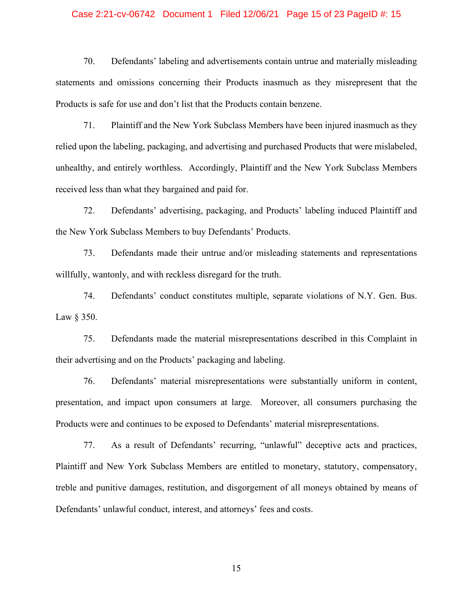#### Case 2:21-cv-06742 Document 1 Filed 12/06/21 Page 15 of 23 PageID #: 15

70. Defendants' labeling and advertisements contain untrue and materially misleading statements and omissions concerning their Products inasmuch as they misrepresent that the Products is safe for use and don't list that the Products contain benzene.

71. Plaintiff and the New York Subclass Members have been injured inasmuch as they relied upon the labeling, packaging, and advertising and purchased Products that were mislabeled, unhealthy, and entirely worthless. Accordingly, Plaintiff and the New York Subclass Members received less than what they bargained and paid for.

72. Defendants' advertising, packaging, and Products' labeling induced Plaintiff and the New York Subclass Members to buy Defendants' Products.

73. Defendants made their untrue and/or misleading statements and representations willfully, wantonly, and with reckless disregard for the truth.

74. Defendants' conduct constitutes multiple, separate violations of N.Y. Gen. Bus. Law § 350.

75. Defendants made the material misrepresentations described in this Complaint in their advertising and on the Products' packaging and labeling.

76. Defendants' material misrepresentations were substantially uniform in content, presentation, and impact upon consumers at large. Moreover, all consumers purchasing the Products were and continues to be exposed to Defendants' material misrepresentations.

77. As a result of Defendants' recurring, "unlawful" deceptive acts and practices, Plaintiff and New York Subclass Members are entitled to monetary, statutory, compensatory, treble and punitive damages, restitution, and disgorgement of all moneys obtained by means of Defendants' unlawful conduct, interest, and attorneys' fees and costs.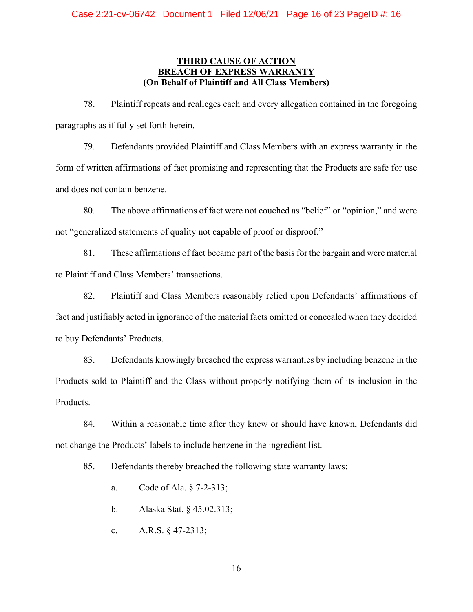## **THIRD CAUSE OF ACTION BREACH OF EXPRESS WARRANT (On Behalf of Plaintiff and All Class Members)**

78. Plaintiff repeats and realleges each and every allegation contained in the foregoing paragraphs as if fully set forth herein.

79. Defendants provided Plaintiff and Class Members with an express warranty in the form of written affirmations of fact promising and representing that the Products are safe for use and does not contain benzene.

80. The above affirmations of fact were not couched as "belief" or "opinion," and were not "generalized statements of quality not capable of proof or disproof."

81. These affirmations of fact became part of the basis for the bargain and were material to Plaintiff and Class Members' transactions.

82. Plaintiff and Class Members reasonably relied upon Defendants' affirmations of fact and justifiably acted in ignorance of the material facts omitted or concealed when they decided to buy Defendants' Products.

83. Defendants knowingly breached the express warranties by including benzene in the Products sold to Plaintiff and the Class without properly notifying them of its inclusion in the Products.

84. Within a reasonable time after they knew or should have known, Defendants did not change the Products' labels to include benzene in the ingredient list.

85. Defendants thereby breached the following state warranty laws:

- a. Code of Ala. § 7-2-313;
- b. Alaska Stat. § 45.02.313;
- c. A.R.S. § 47-2313;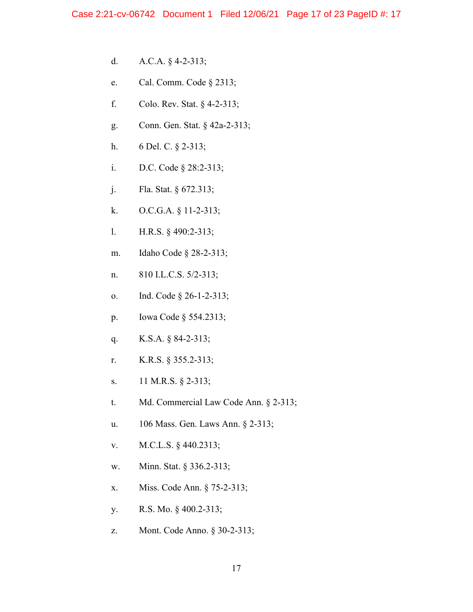- d. A.C.A. § 4-2-313;
- e. Cal. Comm. Code § 2313;
- f. Colo. Rev. Stat. § 4-2-313;
- g. Conn. Gen. Stat. § 42a-2-313;
- h. 6 Del. C. § 2-313;
- i. D.C. Code § 28:2-313;
- j. Fla. Stat. § 672.313;
- k. O.C.G.A. § 11-2-313;
- l. H.R.S. § 490:2-313;
- m. Idaho Code § 28-2-313;
- n. 810 I.L.C.S. 5/2-313;
- o. Ind. Code § 26-1-2-313;
- p. Iowa Code § 554.2313;
- q. K.S.A. § 84-2-313;
- r. K.R.S. § 355.2-313;
- s. 11 M.R.S. § 2-313;
- t. Md. Commercial Law Code Ann. § 2-313;
- u. 106 Mass. Gen. Laws Ann. § 2-313;
- v. M.C.L.S. § 440.2313;
- w. Minn. Stat. § 336.2-313;
- x. Miss. Code Ann. § 75-2-313;
- y. R.S. Mo. § 400.2-313;
- z. Mont. Code Anno. § 30-2-313;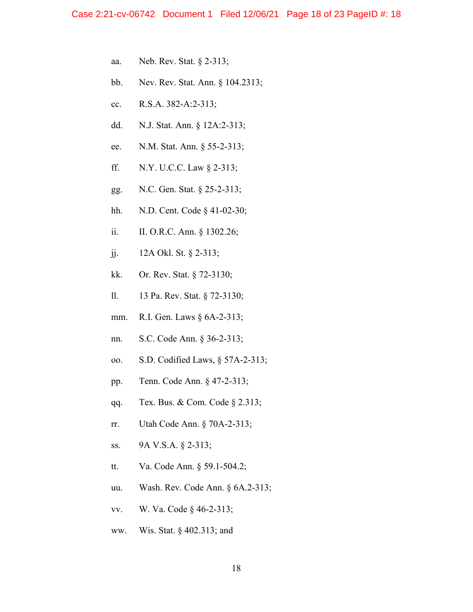- aa. Neb. Rev. Stat. § 2-313;
- bb. Nev. Rev. Stat. Ann. § 104.2313;
- cc. R.S.A. 382-A:2-313;
- dd. N.J. Stat. Ann. § 12A:2-313;
- ee. N.M. Stat. Ann. § 55-2-313;
- ff. N.Y. U.C.C. Law § 2-313;
- gg. N.C. Gen. Stat. § 25-2-313;
- hh. N.D. Cent. Code § 41-02-30;
- ii. II. O.R.C. Ann. § 1302.26;
- jj. 12A Okl. St. § 2-313;
- kk. Or. Rev. Stat. § 72-3130;
- ll. 13 Pa. Rev. Stat. § 72-3130;
- mm. R.I. Gen. Laws § 6A-2-313;
- nn. S.C. Code Ann. § 36-2-313;
- oo. S.D. Codified Laws, § 57A-2-313;
- pp. Tenn. Code Ann. § 47-2-313;
- qq. Tex. Bus. & Com. Code § 2.313;
- rr. Utah Code Ann. § 70A-2-313;
- ss. 9A V.S.A. § 2-313;
- tt. Va. Code Ann. § 59.1-504.2;
- uu. Wash. Rev. Code Ann. § 6A.2-313;
- vv. W. Va. Code § 46-2-313;
- ww. Wis. Stat. § 402.313; and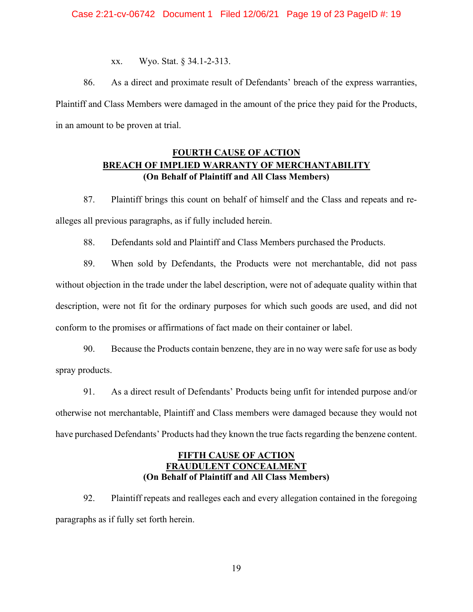xx. Wyo. Stat. § 34.1-2-313.

86. As a direct and proximate result of Defendants' breach of the express warranties, Plaintiff and Class Members were damaged in the amount of the price they paid for the Products, in an amount to be proven at trial.

# **FOURTH CAUSE OF ACTION BREACH OF IMPLIED WARRANTY OF MERCHANTABILITY (On Behalf of Plaintiff and All Class Members)**

87. Plaintiff brings this count on behalf of himself and the Class and repeats and realleges all previous paragraphs, as if fully included herein.

88. Defendants sold and Plaintiff and Class Members purchased the Products.

89. When sold by Defendants, the Products were not merchantable, did not pass without objection in the trade under the label description, were not of adequate quality within that description, were not fit for the ordinary purposes for which such goods are used, and did not conform to the promises or affirmations of fact made on their container or label.

90. Because the Products contain benzene, they are in no way were safe for use as body spray products.

91. As a direct result of Defendants' Products being unfit for intended purpose and/or otherwise not merchantable, Plaintiff and Class members were damaged because they would not have purchased Defendants' Products had they known the true facts regarding the benzene content.

## **FIFTH CAUSE OF ACTION FRAUDULENT CONCEALMENT (On Behalf of Plaintiff and All Class Members)**

92. Plaintiff repeats and realleges each and every allegation contained in the foregoing paragraphs as if fully set forth herein.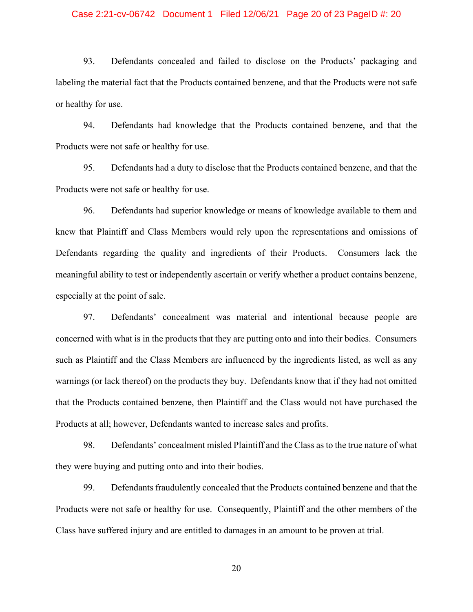#### Case 2:21-cv-06742 Document 1 Filed 12/06/21 Page 20 of 23 PageID #: 20

93. Defendants concealed and failed to disclose on the Products' packaging and labeling the material fact that the Products contained benzene, and that the Products were not safe or healthy for use.

94. Defendants had knowledge that the Products contained benzene, and that the Products were not safe or healthy for use.

95. Defendants had a duty to disclose that the Products contained benzene, and that the Products were not safe or healthy for use.

96. Defendants had superior knowledge or means of knowledge available to them and knew that Plaintiff and Class Members would rely upon the representations and omissions of Defendants regarding the quality and ingredients of their Products. Consumers lack the meaningful ability to test or independently ascertain or verify whether a product contains benzene, especially at the point of sale.

97. Defendants' concealment was material and intentional because people are concerned with what is in the products that they are putting onto and into their bodies. Consumers such as Plaintiff and the Class Members are influenced by the ingredients listed, as well as any warnings (or lack thereof) on the products they buy. Defendants know that if they had not omitted that the Products contained benzene, then Plaintiff and the Class would not have purchased the Products at all; however, Defendants wanted to increase sales and profits.

98. Defendants' concealment misled Plaintiff and the Class as to the true nature of what they were buying and putting onto and into their bodies.

99. Defendants fraudulently concealed that the Products contained benzene and that the Products were not safe or healthy for use. Consequently, Plaintiff and the other members of the Class have suffered injury and are entitled to damages in an amount to be proven at trial.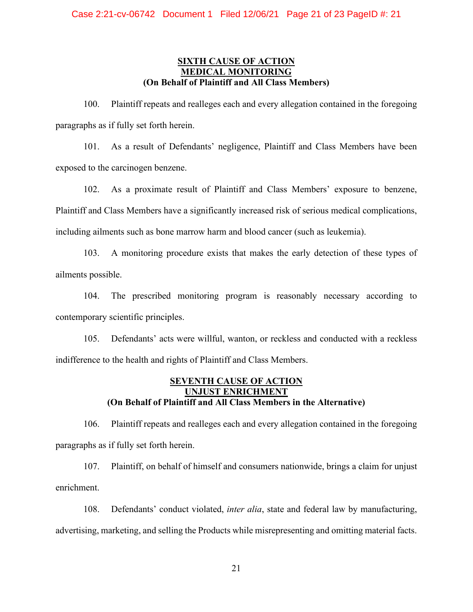## **SIXTH CAUSE OF ACTION MEDICAL MONITORING (On Behalf of Plaintiff and All Class Members)**

100. Plaintiff repeats and realleges each and every allegation contained in the foregoing paragraphs as if fully set forth herein.

101. As a result of Defendants' negligence, Plaintiff and Class Members have been exposed to the carcinogen benzene.

102. As a proximate result of Plaintiff and Class Members' exposure to benzene, Plaintiff and Class Members have a significantly increased risk of serious medical complications, including ailments such as bone marrow harm and blood cancer (such as leukemia).

103. A monitoring procedure exists that makes the early detection of these types of ailments possible.

104. The prescribed monitoring program is reasonably necessary according to contemporary scientific principles.

105. Defendants' acts were willful, wanton, or reckless and conducted with a reckless indifference to the health and rights of Plaintiff and Class Members.

## **SEVENTH CAUSE OF ACTION UNJUST ENRICHMENT (On Behalf of Plaintiff and All Class Members in the Alternative)**

106. Plaintiff repeats and realleges each and every allegation contained in the foregoing paragraphs as if fully set forth herein.

107. Plaintiff, on behalf of himself and consumers nationwide, brings a claim for unjust enrichment.

108. Defendants' conduct violated, *inter alia*, state and federal law by manufacturing, advertising, marketing, and selling the Products while misrepresenting and omitting material facts.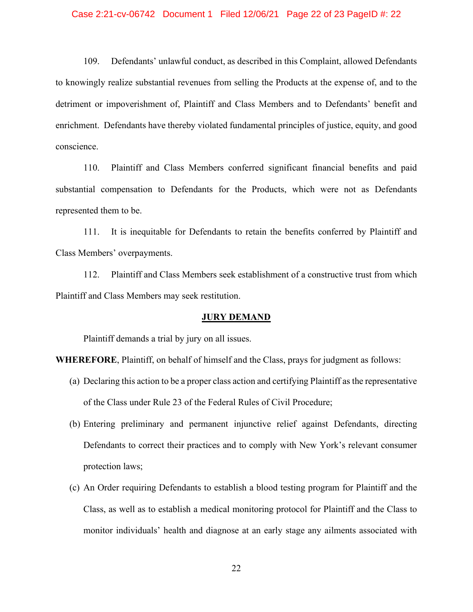#### Case 2:21-cv-06742 Document 1 Filed 12/06/21 Page 22 of 23 PageID #: 22

109. Defendants' unlawful conduct, as described in this Complaint, allowed Defendants to knowingly realize substantial revenues from selling the Products at the expense of, and to the detriment or impoverishment of, Plaintiff and Class Members and to Defendants' benefit and enrichment. Defendants have thereby violated fundamental principles of justice, equity, and good conscience.

110. Plaintiff and Class Members conferred significant financial benefits and paid substantial compensation to Defendants for the Products, which were not as Defendants represented them to be.

111. It is inequitable for Defendants to retain the benefits conferred by Plaintiff and Class Members' overpayments.

112. Plaintiff and Class Members seek establishment of a constructive trust from which Plaintiff and Class Members may seek restitution.

#### **JURY DEMAND**

Plaintiff demands a trial by jury on all issues.

**WHEREFORE**, Plaintiff, on behalf of himself and the Class, prays for judgment as follows:

- (a) Declaring this action to be a proper class action and certifying Plaintiff as the representative of the Class under Rule 23 of the Federal Rules of Civil Procedure;
- (b) Entering preliminary and permanent injunctive relief against Defendants, directing Defendants to correct their practices and to comply with New York's relevant consumer protection laws;
- (c) An Order requiring Defendants to establish a blood testing program for Plaintiff and the Class, as well as to establish a medical monitoring protocol for Plaintiff and the Class to monitor individuals' health and diagnose at an early stage any ailments associated with